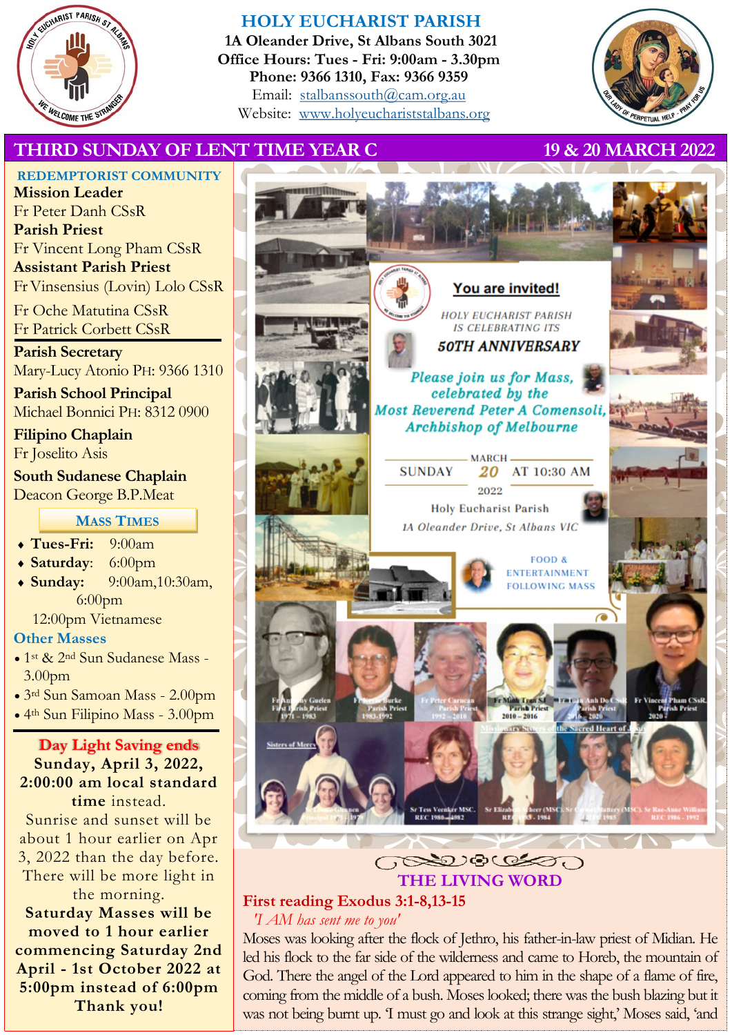

# **HOLY EUCHARIST PARISH**

**1A Oleander Drive, St Albans South 3021 Office Hours: Tues - Fri: 9:00am - 3.30pm Phone: 9366 1310, Fax: 9366 9359** Email: [stalbanssouth@cam.org.au](mailto:stalbanssouth@cam.org.au) Website:[www.holyeuchariststalbans.org](http://www.holyeuchariststalbans.org)



# **THIRD SUNDAY OF LENT TIME YEAR C 19 & 20 MARCH 2022**



# **THE LIVING WORD**

# **First reading Exodus 3:1-8,13-15**

*'I AM has sent me to you'*

Moses was looking after the flock of Jethro, his father-in-law priest of Midian. He led his flock to the far side of the wilderness and came to Horeb, the mountain of God. There the angel of the Lord appeared to him in the shape of a flame of fire, coming from the middle of a bush. Moses looked; there was the bush blazing but it was not being burnt up. 'I must go and look at this strange sight,' Moses said, 'and

**Mission Leader** Fr Peter Danh CSsR

**Parish Priest** Fr Vincent Long Pham CSsR **Assistant Parish Priest**  Fr Vinsensius (Lovin) Lolo CSsR

**REDEMPTORIST COMMUNITY**

Fr Oche Matutina CSsR Fr Patrick Corbett CSsR

**Parish Secretary** Mary-Lucy Atonio PH: 9366 1310

**Parish School Principal** Michael Bonnici PH: 8312 0900

**Filipino Chaplain** Fr Joselito Asis

**South Sudanese Chaplain** Deacon George B.P.Meat

**MASS TIMES**

- **Tues-Fri:** 9:00am
- **Saturday**: 6:00pm
- **Sunday:** 9:00am,10:30am, 6:00pm
	- 12:00pm Vietnamese

# **Other Masses**

- 1st & 2nd Sun Sudanese Mass 3.00pm
- 3rd Sun Samoan Mass 2.00pm
- 4th Sun Filipino Mass 3.00pm

# **Day Light Saving ends Sunday, April 3, 2022, 2:00:00 am local standard time** instead.

Sunrise and sunset will be about 1 hour earlier on Apr 3, 2022 than the day before. There will be more light in the morning. **Saturday Masses will be moved to 1 hour earlier commencing Saturday 2nd** 

**April - 1st October 2022 at 5:00pm instead of 6:00pm Thank you!**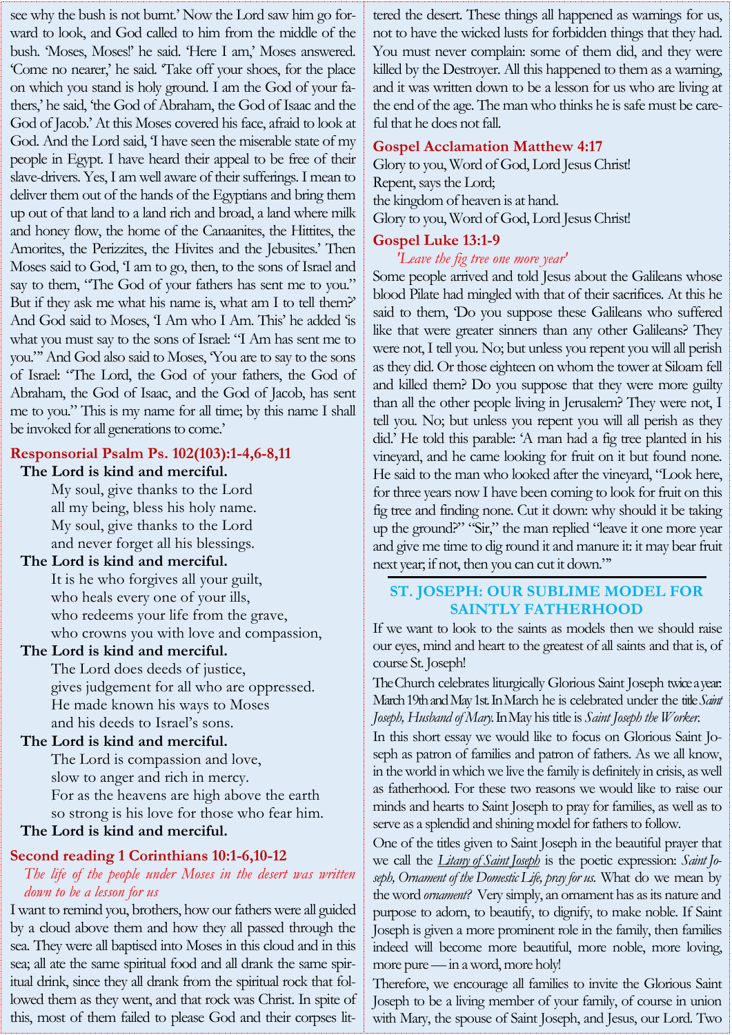see why the bush is not burnt.' Now the Lord saw him go forward to look, and God called to him from the middle of the bush. 'Moses, Moses!' he said. 'Here I am,' Moses answered. 'Come no nearer,' he said. 'Take off your shoes, for the place on which you stand is holy ground. I am the God of your fathers,' he said, 'the God of Abraham, the God of Isaac and the God of Jacob.' At this Moses covered his face, afraid to look at God. And the Lord said, 'I have seen the miserable state of my people in Egypt. I have heard their appeal to be free of their slave-drivers. Yes, I am well aware of their sufferings. I mean to deliver them out of the hands of the Egyptians and bring them up out of that land to a land rich and broad, a land where milk and honey flow, the home of the Canaanites, the Hittites, the Amorites, the Perizzites, the Hivites and the Jebusites.' Then Moses said to God, 'I am to go, then, to the sons of Israel and say to them, "The God of your fathers has sent me to you." But if they ask me what his name is, what am I to tell them?' And God said to Moses, 'I Am who I Am. This' he added 'is what you must say to the sons of Israel: "I Am has sent me to you."' And God also said to Moses, 'You are to say to the sons of Israel: "The Lord, the God of your fathers, the God of Abraham, the God of Isaac, and the God of Jacob, has sent me to you." This is my name for all time; by this name I shall be invoked for all generations to come.'

### **Responsorial Psalm Ps. 102(103):1-4,6-8,11**

**The Lord is kind and merciful.**

My soul, give thanks to the Lord all my being, bless his holy name. My soul, give thanks to the Lord and never forget all his blessings.

### **The Lord is kind and merciful.**

It is he who forgives all your guilt, who heals every one of your ills, who redeems your life from the grave, who crowns you with love and compassion,

### **The Lord is kind and merciful.**

The Lord does deeds of justice, gives judgement for all who are oppressed. He made known his ways to Moses and his deeds to Israel's sons.

### **The Lord is kind and merciful.**

The Lord is compassion and love, slow to anger and rich in mercy. For as the heavens are high above the earth so strong is his love for those who fear him.

# **The Lord is kind and merciful.**

# **Second reading 1 Corinthians 10:1-6,10-12**

# *The life of the people under Moses in the desert was written down to be a lesson for us*

I want to remind you, brothers, how our fathers were all guided by a cloud above them and how they all passed through the sea. They were all baptised into Moses in this cloud and in this sea; all ate the same spiritual food and all drank the same spiritual drink, since they all drank from the spiritual rock that followed them as they went, and that rock was Christ. In spite of this, most of them failed to please God and their corpses littered the desert. These things all happened as warnings for us, not to have the wicked lusts for forbidden things that they had. You must never complain: some of them did, and they were killed by the Destroyer. All this happened to them as a warning, and it was written down to be a lesson for us who are living at the end of the age. The man who thinks he is safe must be careful that he does not fall.

### **Gospel Acclamation Matthew 4:17**

Glory to you, Word of God, Lord Jesus Christ! Repent, says the Lord; the kingdom of heaven is at hand. Glory to you, Word of God, Lord Jesus Christ!

### **Gospel Luke 13:1-9**

# *'Leave the fig tree one more year'*

Some people arrived and told Jesus about the Galileans whose blood Pilate had mingled with that of their sacrifices. At this he said to them, 'Do you suppose these Galileans who suffered like that were greater sinners than any other Galileans? They were not, I tell you. No; but unless you repent you will all perish as they did. Or those eighteen on whom the tower at Siloam fell and killed them? Do you suppose that they were more guilty than all the other people living in Jerusalem? They were not, I tell you. No; but unless you repent you will all perish as they did.' He told this parable: 'A man had a fig tree planted in his vineyard, and he came looking for fruit on it but found none. He said to the man who looked after the vineyard, "Look here, for three years now I have been coming to look for fruit on this fig tree and finding none. Cut it down: why should it be taking up the ground?" "Sir," the man replied "leave it one more year and give me time to dig round it and manure it: it may bear fruit next year; if not, then you can cut it down."'

# **ST. JOSEPH: OUR SUBLIME MODEL FOR SAINTLY FATHERHOOD**

If we want to look to the saints as models then we should raise our eyes, mind and heart to the greatest of all saints and that is, of course St. Joseph!

The Church celebrates liturgically Glorious Saint Joseph twice a year: March 19th and May 1st. In March he is celebrated under the title*Saint Joseph, Husband of Mary.*In May his title is *Saint Joseph the Worker.*

In this short essay we would like to focus on Glorious Saint Joseph as patron of families and patron of fathers. As we all know, in the world in which we live the family is definitely in crisis, as well as fatherhood. For these two reasons we would like to raise our minds and hearts to Saint Joseph to pray for families, as well as to serve as a splendid and shining model for fathers to follow.

One of the titles given to Saint Joseph in the beautiful prayer that we call the *[Litany of Saint Joseph](https://www.ewtn.com/devotionals/litanies/joseph.htm)* is the poetic expression: *Saint Joseph, Ornament of the Domestic Life, pray for us.* What do we mean by the word *ornament?* Very simply, an ornament has as its nature and purpose to adorn, to beautify, to dignify, to make noble. If Saint Joseph is given a more prominent role in the family, then families indeed will become more beautiful, more noble, more loving, more pure — in a word, more holy!

Therefore, we encourage all families to invite the Glorious Saint Joseph to be a living member of your family, of course in union with Mary, the spouse of Saint Joseph, and Jesus, our Lord. Two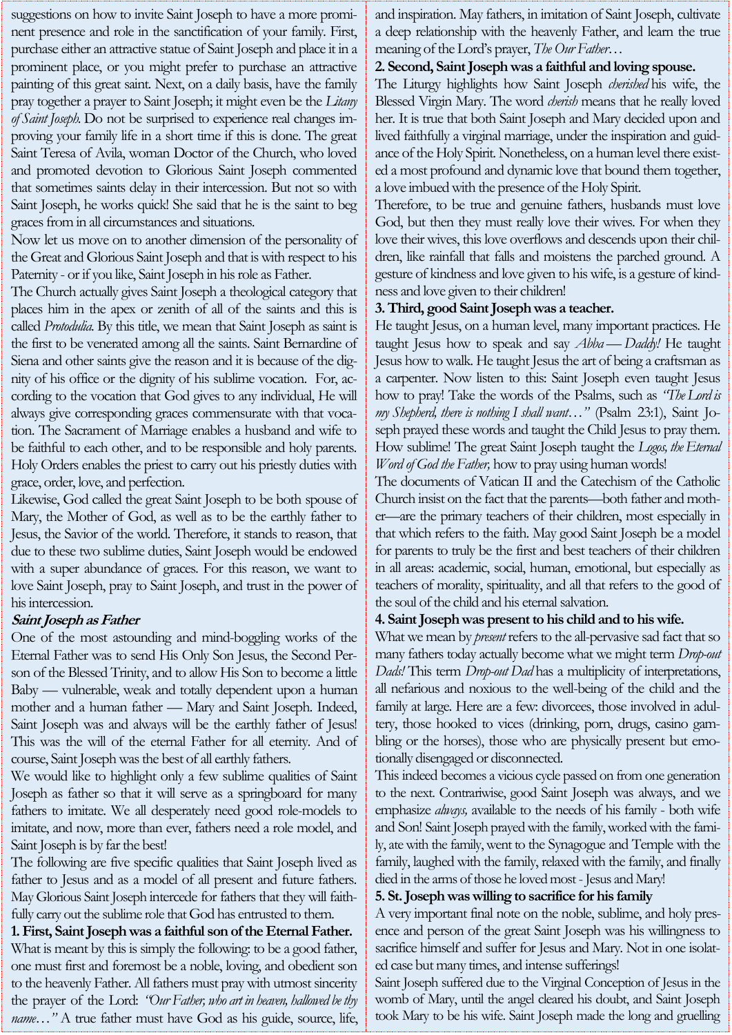suggestions on how to invite Saint Joseph to have a more prominent presence and role in the sanctification of your family. First, purchase either an attractive statue of Saint Joseph and place it in a prominent place, or you might prefer to purchase an attractive painting of this great saint. Next, on a daily basis, have the family pray together a prayer to Saint Joseph; it might even be the *Litany of Saint Joseph.* Do not be surprised to experience real changes improving your family life in a short time if this is done. The great Saint Teresa of Avila, woman Doctor of the Church, who loved and promoted devotion to Glorious Saint Joseph commented that sometimes saints delay in their intercession. But not so with Saint Joseph, he works quick! She said that he is the saint to beg graces from in all circumstances and situations.

Now let us move on to another dimension of the personality of the Great and Glorious Saint Joseph and that is with respect to his Paternity - or if you like, Saint Joseph in his role as Father.

The Church actually gives Saint Joseph a theological category that places him in the apex or zenith of all of the saints and this is called *Protodulia.* By this title, we mean that Saint Joseph as saint is the first to be venerated among all the saints. Saint Bernardine of Siena and other saints give the reason and it is because of the dignity of his office or the dignity of his sublime vocation. For, according to the vocation that God gives to any individual, He will always give corresponding graces commensurate with that vocation. The Sacrament of Marriage enables a husband and wife to be faithful to each other, and to be responsible and holy parents. Holy Orders enables the priest to carry out his priestly duties with grace, order, love, and perfection.

Likewise, God called the great Saint Joseph to be both spouse of Mary, the Mother of God, as well as to be the earthly father to Jesus, the Savior of the world. Therefore, it stands to reason, that due to these two sublime duties, Saint Joseph would be endowed with a super abundance of graces. For this reason, we want to love Saint Joseph, pray to Saint Joseph, and trust in the power of his intercession.

### **Saint Joseph as Father**

One of the most astounding and mind-boggling works of the Eternal Father was to send His Only Son Jesus, the Second Person of the Blessed Trinity, and to allow His Son to become a little Baby — vulnerable, weak and totally dependent upon a human mother and a human father — Mary and Saint Joseph. Indeed, Saint Joseph was and always will be the earthly father of Jesus! This was the will of the eternal Father for all eternity. And of course, Saint Joseph was the best of all earthly fathers.

We would like to highlight only a few sublime qualities of Saint Joseph as father so that it will serve as a springboard for many fathers to imitate. We all desperately need good role-models to imitate, and now, more than ever, fathers need a role model, and Saint Joseph is by far the best!

The following are five specific qualities that Saint Joseph lived as father to Jesus and as a model of all present and future fathers. May Glorious Saint Joseph intercede for fathers that they will faithfully carry out the sublime role that God has entrusted to them.

**1. First, Saint Joseph was a faithful son of the Eternal Father.** What is meant by this is simply the following: to be a good father, one must first and foremost be a noble, loving, and obedient son to the heavenly Father. All fathers must pray with utmost sincerity the prayer of the Lord: *"Our Father, who art in heaven, hallowed be thy name...*" A true father must have God as his guide, source, life, and inspiration. May fathers, in imitation of Saint Joseph, cultivate a deep relationship with the heavenly Father, and learn the true meaning of the Lord's prayer, *The Our Father…*

# **2. Second, Saint Joseph was a faithful and loving spouse.**

The Liturgy highlights how Saint Joseph *cherished* his wife, the Blessed Virgin Mary. The word *cherish* means that he really loved her. It is true that both Saint Joseph and Mary decided upon and lived faithfully a virginal marriage, under the inspiration and guidance of the Holy Spirit. Nonetheless, on a human level there existed a most profound and dynamic love that bound them together, a love imbued with the presence of the Holy Spirit.

Therefore, to be true and genuine fathers, husbands must love God, but then they must really love their wives. For when they love their wives, this love overflows and descends upon their children, like rainfall that falls and moistens the parched ground. A gesture of kindness and love given to his wife, is a gesture of kindness and love given to their children!

# **3. Third, good Saint Joseph was a teacher.**

He taught Jesus, on a human level, many important practices. He taught Jesus how to speak and say *Abba — Daddy!* He taught Jesus how to walk. He taught Jesus the art of being a craftsman as a carpenter. Now listen to this: Saint Joseph even taught Jesus how to pray! Take the words of the Psalms, such as *"The Lord is my Shepherd, there is nothing I shall want…"* (Psalm 23:1), Saint Joseph prayed these words and taught the Child Jesus to pray them. How sublime! The great Saint Joseph taught the *Logos, the Eternal Word of God the Father,* how to pray using human words!

The documents of Vatican II and the Catechism of the Catholic Church insist on the fact that the parents—both father and mother—are the primary teachers of their children, most especially in that which refers to the faith. May good Saint Joseph be a model for parents to truly be the first and best teachers of their children in all areas: academic, social, human, emotional, but especially as teachers of morality, spirituality, and all that refers to the good of the soul of the child and his eternal salvation.

# **4. Saint Joseph was presentto his child and to his wife.**

What we mean by *present* refers to the all-pervasive sad fact that so many fathers today actually become what we might term *Drop-out Dads!* This term *Drop-out Dad* has a multiplicity of interpretations, all nefarious and noxious to the well-being of the child and the family at large. Here are a few: divorcees, those involved in adultery, those hooked to vices (drinking, porn, drugs, casino gambling or the horses), those who are physically present but emotionally disengaged or disconnected.

This indeed becomes a vicious cycle passed on from one generation to the next. Contrariwise, good Saint Joseph was always, and we emphasize *always,* available to the needs of his family - both wife and Son! Saint Joseph prayed with the family, worked with the family, ate with the family, went to the Synagogue and Temple with the family, laughed with the family, relaxed with the family, and finally died in the arms of those he loved most - Jesus and Mary!

# **5. St. Joseph was willing to sacrifice for his family**

A very important final note on the noble, sublime, and holy presence and person of the great Saint Joseph was his willingness to sacrifice himself and suffer for Jesus and Mary. Not in one isolated case but many times, and intense sufferings!

Saint Joseph suffered due to the Virginal Conception of Jesus in the womb of Mary, until the angel cleared his doubt, and Saint Joseph took Mary to be his wife. Saint Joseph made the long and gruelling